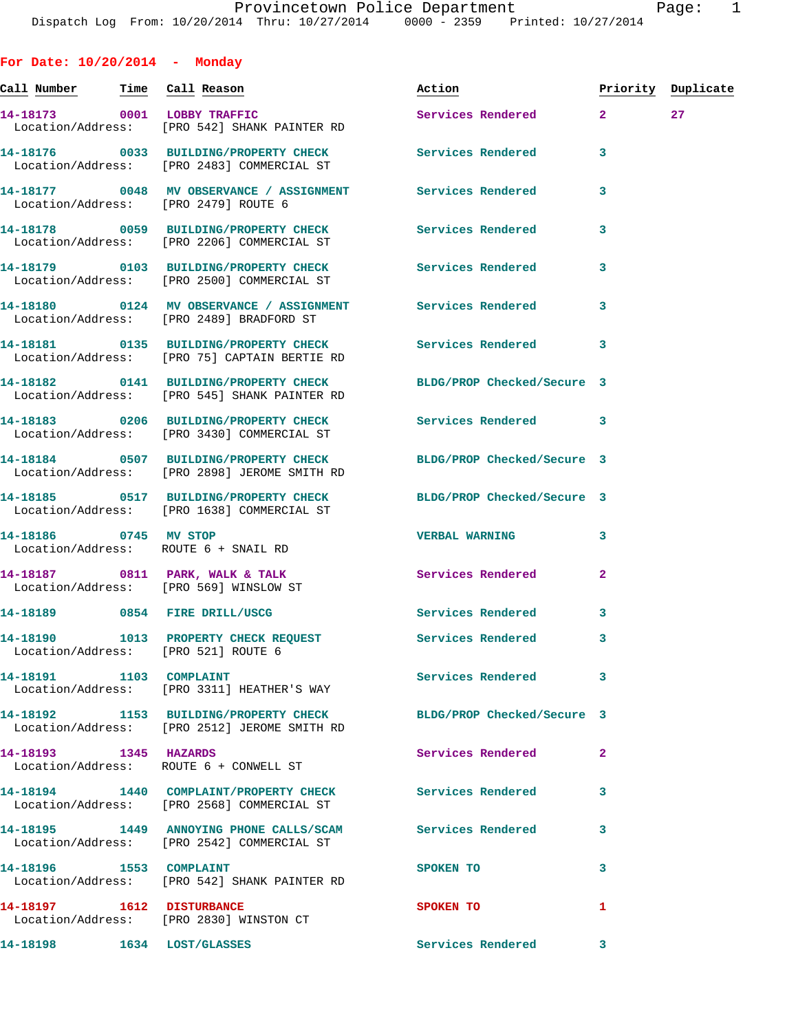**For Date: 10/20/2014 - Monday Call Number Time Call Reason Action Priority Duplicate 14-18173 0001 LOBBY TRAFFIC Services Rendered 2 27**  Location/Address: [PRO 542] SHANK PAINTER RD **14-18176 0033 BUILDING/PROPERTY CHECK Services Rendered 3**  Location/Address: [PRO 2483] COMMERCIAL ST **14-18177 0048 MV OBSERVANCE / ASSIGNMENT Services Rendered 3**  Location/Address: [PRO 2479] ROUTE 6 **14-18178 0059 BUILDING/PROPERTY CHECK Services Rendered 3**  Location/Address: [PRO 2206] COMMERCIAL ST **14-18179 0103 BUILDING/PROPERTY CHECK Services Rendered 3**  Location/Address: [PRO 2500] COMMERCIAL ST **14-18180 0124 MV OBSERVANCE / ASSIGNMENT Services Rendered 3**  Location/Address: [PRO 2489] BRADFORD ST **14-18181 0135 BUILDING/PROPERTY CHECK Services Rendered 3**  Location/Address: [PRO 75] CAPTAIN BERTIE RD **14-18182 0141 BUILDING/PROPERTY CHECK BLDG/PROP Checked/Secure 3**  Location/Address: [PRO 545] SHANK PAINTER RD **14-18183 0206 BUILDING/PROPERTY CHECK Services Rendered 3**  Location/Address: [PRO 3430] COMMERCIAL ST **14-18184 0507 BUILDING/PROPERTY CHECK BLDG/PROP Checked/Secure 3**  Location/Address: [PRO 2898] JEROME SMITH RD **14-18185 0517 BUILDING/PROPERTY CHECK BLDG/PROP Checked/Secure 3**  Location/Address: [PRO 1638] COMMERCIAL ST **14-18186 0745 MV STOP VERBAL WARNING 3**  Location/Address: ROUTE 6 + SNAIL RD **14-18187 0811 PARK, WALK & TALK Services Rendered 2**  Location/Address: [PRO 569] WINSLOW ST **14-18189 0854 FIRE DRILL/USCG Services Rendered 3 14-18190 1013 PROPERTY CHECK REQUEST Services Rendered 3**  Location/Address: [PRO 521] ROUTE 6 **14-18191 1103 COMPLAINT Services Rendered 3**  Location/Address: [PRO 3311] HEATHER'S WAY **14-18192 1153 BUILDING/PROPERTY CHECK BLDG/PROP Checked/Secure 3**  Location/Address: [PRO 2512] JEROME SMITH RD **14-18193 1345 HAZARDS Services Rendered 2**  Location/Address: ROUTE 6 + CONWELL ST **14-18194 1440 COMPLAINT/PROPERTY CHECK Services Rendered 3**  Location/Address: [PRO 2568] COMMERCIAL ST **14-18195 1449 ANNOYING PHONE CALLS/SCAM Services Rendered 3**  Location/Address: [PRO 2542] COMMERCIAL ST **14-18196 1553 COMPLAINT SPOKEN TO 3** 

Location/Address: [PRO 2830] WINSTON CT

Location/Address: [PRO 542] SHANK PAINTER RD

**14-18197 1612 DISTURBANCE SPOKEN TO 1** 

**14-18198 1634 LOST/GLASSES Services Rendered 3**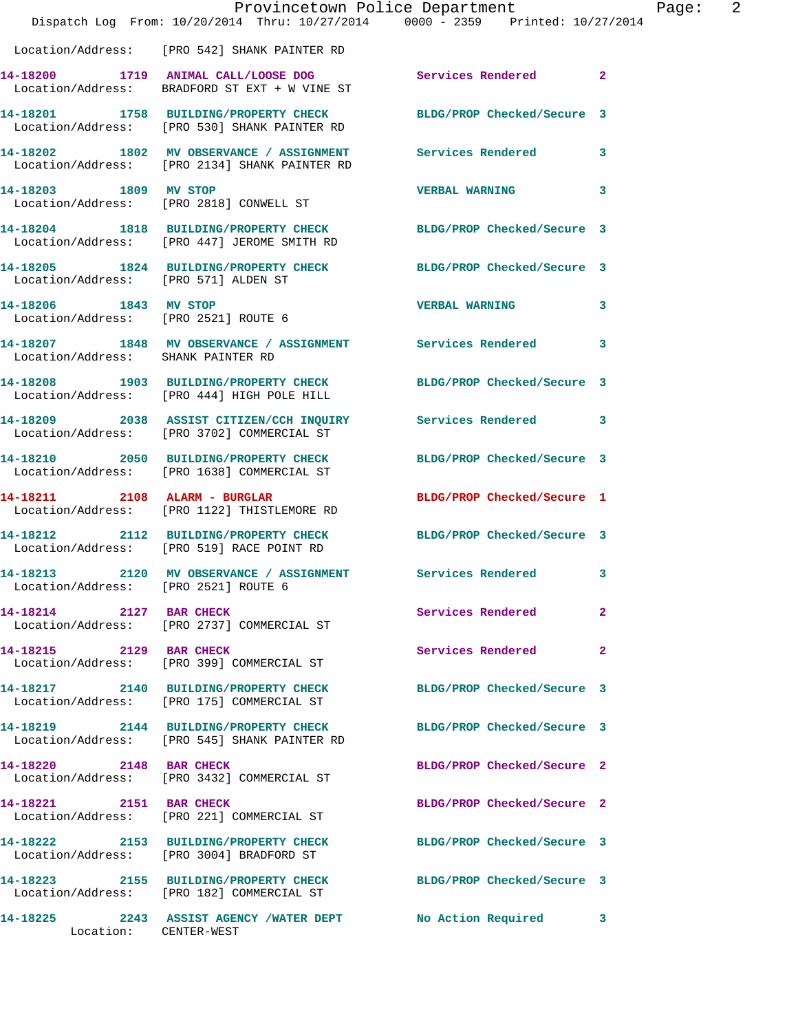|                                      | Provincetown Police Department<br>Dispatch Log From: 10/20/2014 Thru: 10/27/2014 0000 - 2359 Printed: 10/27/2014 |                            | Page: 2                 |
|--------------------------------------|------------------------------------------------------------------------------------------------------------------|----------------------------|-------------------------|
|                                      | Location/Address: [PRO 542] SHANK PAINTER RD                                                                     |                            |                         |
|                                      | 14-18200 1719 ANIMAL CALL/LOOSE DOG Services Rendered 2<br>Location/Address: BRADFORD ST EXT + W VINE ST         |                            |                         |
|                                      | 14-18201 1758 BUILDING/PROPERTY CHECK BLDG/PROP Checked/Secure 3<br>Location/Address: [PRO 530] SHANK PAINTER RD |                            |                         |
|                                      | 14-18202 1802 MV OBSERVANCE / ASSIGNMENT Services Rendered 3<br>Location/Address: [PRO 2134] SHANK PAINTER RD    |                            |                         |
| 14-18203 1809 MV STOP                | Location/Address: [PRO 2818] CONWELL ST                                                                          | VERBAL WARNING 3           |                         |
|                                      | 14-18204 1818 BUILDING/PROPERTY CHECK BLDG/PROP Checked/Secure 3<br>Location/Address: [PRO 447] JEROME SMITH RD  |                            |                         |
| Location/Address: [PRO 571] ALDEN ST | 14-18205 1824 BUILDING/PROPERTY CHECK BLDG/PROP Checked/Secure 3                                                 |                            |                         |
| 14-18206 1843 MV STOP                | Location/Address: [PRO 2521] ROUTE 6                                                                             | VERBAL WARNING 3           |                         |
| Location/Address: SHANK PAINTER RD   | 14-18207 1848 MV OBSERVANCE / ASSIGNMENT Services Rendered 3                                                     |                            |                         |
|                                      | 14-18208 1903 BUILDING/PROPERTY CHECK BLDG/PROP Checked/Secure 3<br>Location/Address: [PRO 444] HIGH POLE HILL   |                            |                         |
|                                      | 14-18209 2038 ASSIST CITIZEN/CCH INQUIRY Services Rendered 3<br>Location/Address: [PRO 3702] COMMERCIAL ST       |                            |                         |
|                                      | 14-18210 2050 BUILDING/PROPERTY CHECK BLDG/PROP Checked/Secure 3<br>Location/Address: [PRO 1638] COMMERCIAL ST   |                            |                         |
|                                      | 14-18211 2108 ALARM - BURGLAR<br>Location/Address: [PRO 1122] THISTLEMORE RD                                     | BLDG/PROP Checked/Secure 1 |                         |
|                                      | 14-18212 2112 BUILDING/PROPERTY CHECK BLDG/PROP Checked/Secure 3<br>Location/Address: [PRO 519] RACE POINT RD    |                            |                         |
| Location/Address: [PRO 2521] ROUTE 6 | 14-18213 2120 MV OBSERVANCE / ASSIGNMENT Services Rendered                                                       |                            | $\overline{\mathbf{3}}$ |
| 14-18214 2127 BAR CHECK              | Location/Address: [PRO 2737] COMMERCIAL ST                                                                       | Services Rendered          | $\mathbf{2}$            |
| 14-18215 2129 BAR CHECK              | Location/Address: [PRO 399] COMMERCIAL ST                                                                        | Services Rendered          | $\mathbf{2}$            |
|                                      | 14-18217 2140 BUILDING/PROPERTY CHECK BLDG/PROP Checked/Secure 3<br>Location/Address: [PRO 175] COMMERCIAL ST    |                            |                         |
|                                      | 14-18219 2144 BUILDING/PROPERTY CHECK BLDG/PROP Checked/Secure 3<br>Location/Address: [PRO 545] SHANK PAINTER RD |                            |                         |
| 14-18220 2148 BAR CHECK              | Location/Address: [PRO 3432] COMMERCIAL ST                                                                       | BLDG/PROP Checked/Secure 2 |                         |
|                                      | 14-18221 2151 BAR CHECK<br>Location/Address: [PRO 221] COMMERCIAL ST                                             | BLDG/PROP Checked/Secure 2 |                         |
|                                      | 14-18222 2153 BUILDING/PROPERTY CHECK BLDG/PROP Checked/Secure 3<br>Location/Address: [PRO 3004] BRADFORD ST     |                            |                         |
|                                      | 14-18223 2155 BUILDING/PROPERTY CHECK BLDG/PROP Checked/Secure 3<br>Location/Address: [PRO 182] COMMERCIAL ST    |                            |                         |
| Location: CENTER-WEST                | 14-18225 2243 ASSIST AGENCY /WATER DEPT No Action Required 3                                                     |                            |                         |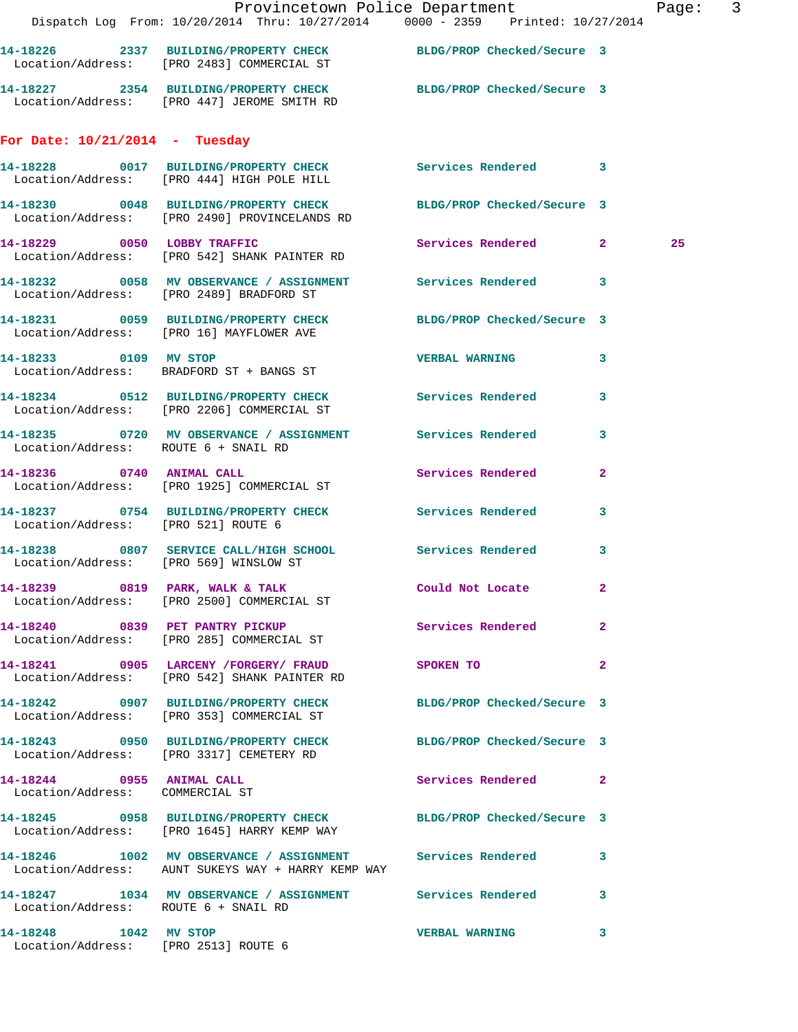|                                                               | Dispatch Log From: 10/20/2014 Thru: 10/27/2014 0000 - 2359 Printed: 10/27/2014                                     | Provincetown Police Department Page: 3 |                         |  |
|---------------------------------------------------------------|--------------------------------------------------------------------------------------------------------------------|----------------------------------------|-------------------------|--|
|                                                               | 14-18226 2337 BUILDING/PROPERTY CHECK BLDG/PROP Checked/Secure 3<br>Location/Address: [PRO 2483] COMMERCIAL ST     |                                        |                         |  |
|                                                               | 14-18227 2354 BUILDING/PROPERTY CHECK BLDG/PROP Checked/Secure 3<br>Location/Address: [PRO 447] JEROME SMITH RD    |                                        |                         |  |
| For Date: $10/21/2014$ - Tuesday                              |                                                                                                                    |                                        |                         |  |
|                                                               | 14-18228 0017 BUILDING/PROPERTY CHECK Services Rendered 3<br>Location/Address: [PRO 444] HIGH POLE HILL            |                                        |                         |  |
|                                                               | 14-18230 0048 BUILDING/PROPERTY CHECK BLDG/PROP Checked/Secure 3<br>Location/Address: [PRO 2490] PROVINCELANDS RD  |                                        |                         |  |
|                                                               | 14-18229 0050 LOBBY TRAFFIC<br>Location/Address: [PRO 542] SHANK PAINTER RD                                        | Services Rendered 2                    | 25                      |  |
|                                                               | 14-18232 0058 MV OBSERVANCE / ASSIGNMENT Services Rendered 3<br>Location/Address: [PRO 2489] BRADFORD ST           |                                        |                         |  |
|                                                               | 14-18231 0059 BUILDING/PROPERTY CHECK BLDG/PROP Checked/Secure 3<br>Location/Address: [PRO 16] MAYFLOWER AVE       |                                        |                         |  |
|                                                               | 14-18233 0109 MV STOP<br>Location/Address: BRADFORD ST + BANGS ST                                                  | <b>VERBAL WARNING</b>                  | $\mathbf{3}$            |  |
|                                                               | 14-18234 0512 BUILDING/PROPERTY CHECK Services Rendered<br>Location/Address: [PRO 2206] COMMERCIAL ST              |                                        | 3                       |  |
| Location/Address: ROUTE 6 + SNAIL RD                          | 14-18235 0720 MV OBSERVANCE / ASSIGNMENT Services Rendered                                                         |                                        | $\overline{\mathbf{3}}$ |  |
|                                                               | 14-18236 0740 ANIMAL CALL<br>Location/Address: [PRO 1925] COMMERCIAL ST                                            | Services Rendered                      | $\mathbf{2}$            |  |
| Location/Address: [PRO 521] ROUTE 6                           | 14-18237 0754 BUILDING/PROPERTY CHECK Services Rendered 3                                                          |                                        |                         |  |
| Location/Address: [PRO 569] WINSLOW ST                        | 14-18238 0807 SERVICE CALL/HIGH SCHOOL Services Rendered                                                           |                                        | 3                       |  |
|                                                               | 14-18239 0819 PARK, WALK & TALK<br>Location/Address: [PRO 2500] COMMERCIAL ST                                      | Could Not Locate                       | $\overline{a}$          |  |
|                                                               | 14-18240 0839 PET PANTRY PICKUP Services Rendered 2<br>Location/Address: [PRO 285] COMMERCIAL ST                   |                                        |                         |  |
|                                                               | 14-18241 0905 LARCENY / FORGERY / FRAUD<br>Location/Address: [PRO 542] SHANK PAINTER RD                            | SPOKEN TO                              | $\mathbf{2}$            |  |
|                                                               | 14-18242 0907 BUILDING/PROPERTY CHECK BLDG/PROP Checked/Secure 3<br>Location/Address: [PRO 353] COMMERCIAL ST      |                                        |                         |  |
|                                                               | 14-18243 0950 BUILDING/PROPERTY CHECK BLDG/PROP Checked/Secure 3<br>Location/Address: [PRO 3317] CEMETERY RD       |                                        |                         |  |
| 14-18244 0955 ANIMAL CALL<br>Location/Address: COMMERCIAL ST  |                                                                                                                    | Services Rendered 2                    |                         |  |
|                                                               | 14-18245 0958 BUILDING/PROPERTY CHECK BLDG/PROP Checked/Secure 3<br>Location/Address: [PRO 1645] HARRY KEMP WAY    |                                        |                         |  |
|                                                               | 14-18246 1002 MV OBSERVANCE / ASSIGNMENT Services Rendered 3<br>Location/Address: AUNT SUKEYS WAY + HARRY KEMP WAY |                                        |                         |  |
| Location/Address: ROUTE 6 + SNAIL RD                          | 14-18247 1034 MV OBSERVANCE / ASSIGNMENT Services Rendered 3                                                       |                                        |                         |  |
| 14-18248 1042 MV STOP<br>Location/Address: [PRO 2513] ROUTE 6 |                                                                                                                    | <b>VERBAL WARNING</b>                  | 3                       |  |
|                                                               |                                                                                                                    |                                        |                         |  |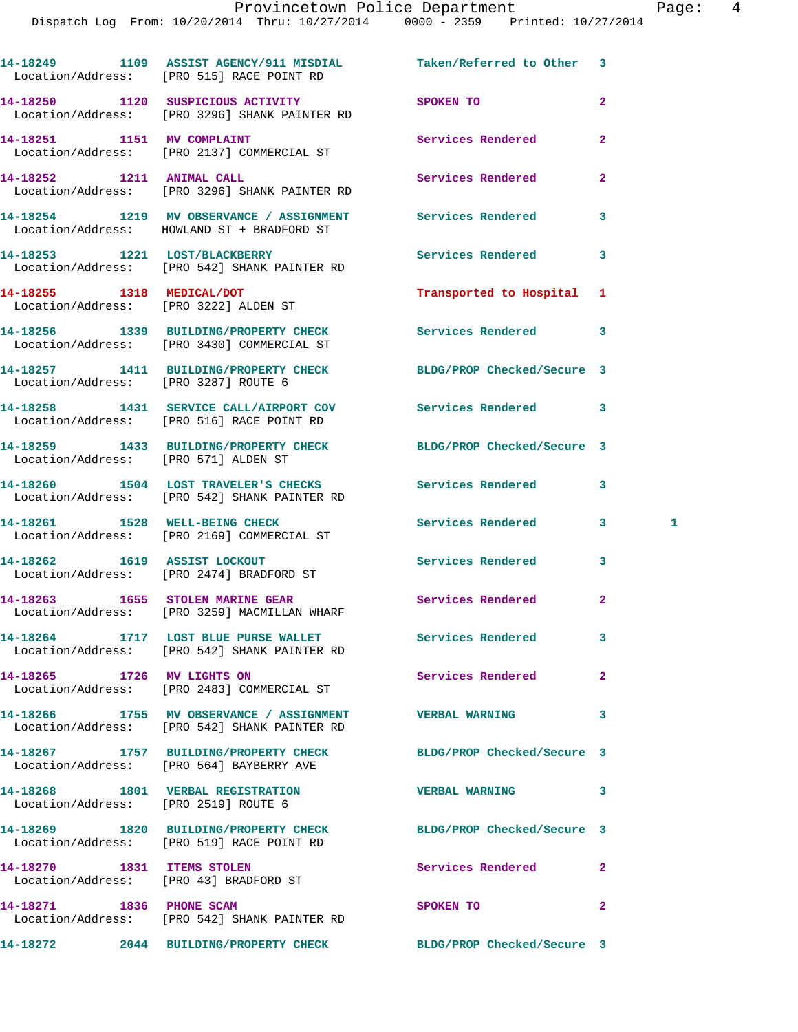|                                      | 14-18249 1109 ASSIST AGENCY/911 MISDIAL Taken/Referred to Other 3<br>Location/Address: [PRO 515] RACE POINT RD |                            |                |   |
|--------------------------------------|----------------------------------------------------------------------------------------------------------------|----------------------------|----------------|---|
|                                      | 14-18250 1120 SUSPICIOUS ACTIVITY<br>Location/Address: [PRO 3296] SHANK PAINTER RD                             | SPOKEN TO                  | $\overline{2}$ |   |
|                                      | 14-18251 1151 MV COMPLAINT<br>Location/Address: [PRO 2137] COMMERCIAL ST                                       | Services Rendered          | $\mathbf{2}$   |   |
| 14-18252 1211 ANIMAL CALL            | Location/Address: [PRO 3296] SHANK PAINTER RD                                                                  | Services Rendered          | $\mathbf{2}$   |   |
|                                      | 14-18254 1219 MV OBSERVANCE / ASSIGNMENT<br>Location/Address: HOWLAND ST + BRADFORD ST                         | <b>Services Rendered</b>   | 3              |   |
|                                      | 14-18253 1221 LOST/BLACKBERRY<br>Location/Address: [PRO 542] SHANK PAINTER RD                                  | <b>Services Rendered</b>   | 3              |   |
|                                      | 14-18255 1318 MEDICAL/DOT<br>Location/Address: [PRO 3222] ALDEN ST                                             | Transported to Hospital 1  |                |   |
|                                      | 14-18256 1339 BUILDING/PROPERTY CHECK Services Rendered<br>Location/Address: [PRO 3430] COMMERCIAL ST          |                            | 3              |   |
| Location/Address: [PRO 3287] ROUTE 6 | 14-18257 1411 BUILDING/PROPERTY CHECK                                                                          | BLDG/PROP Checked/Secure 3 |                |   |
|                                      | 14-18258 1431 SERVICE CALL/AIRPORT COV Services Rendered 3<br>Location/Address: [PRO 516] RACE POINT RD        |                            |                |   |
| Location/Address: [PRO 571] ALDEN ST | 14-18259 1433 BUILDING/PROPERTY CHECK BLDG/PROP Checked/Secure 3                                               |                            |                |   |
|                                      | 14-18260 1504 LOST TRAVELER'S CHECKS Services Rendered<br>Location/Address: [PRO 542] SHANK PAINTER RD         |                            | 3              |   |
|                                      | 14-18261 1528 WELL-BEING CHECK<br>Location/Address: [PRO 2169] COMMERCIAL ST                                   | Services Rendered          | 3 <sup>1</sup> | 1 |
|                                      | 14-18262 1619 ASSIST LOCKOUT<br>Location/Address: [PRO 2474] BRADFORD ST                                       | Services Rendered          | 3              |   |
|                                      | 14-18263 1655 STOLEN MARINE GEAR<br>Location/Address: [PRO 3259] MACMILLAN WHARF                               | Services Rendered          | $\mathbf{2}$   |   |
|                                      | 14-18264 1717 LOST BLUE PURSE WALLET Services Rendered<br>Location/Address: [PRO 542] SHANK PAINTER RD         |                            | 3              |   |
|                                      | 14-18265 1726 MV LIGHTS ON<br>Location/Address: [PRO 2483] COMMERCIAL ST                                       | <b>Services Rendered</b>   | $\mathbf{2}$   |   |
|                                      | 14-18266 1755 MV OBSERVANCE / ASSIGNMENT VERBAL WARNING<br>Location/Address: [PRO 542] SHANK PAINTER RD        |                            | 3              |   |
|                                      | 14-18267 1757 BUILDING/PROPERTY CHECK<br>Location/Address: [PRO 564] BAYBERRY AVE                              | BLDG/PROP Checked/Secure 3 |                |   |
| Location/Address: [PRO 2519] ROUTE 6 | 14-18268 1801 VERBAL REGISTRATION                                                                              | <b>VERBAL WARNING</b>      | 3              |   |
|                                      | 14-18269 1820 BUILDING/PROPERTY CHECK<br>Location/Address: [PRO 519] RACE POINT RD                             | BLDG/PROP Checked/Secure 3 |                |   |
| 14-18270 1831 ITEMS STOLEN           | Location/Address: [PRO 43] BRADFORD ST                                                                         | Services Rendered          | $\mathbf{2}$   |   |
| 14-18271 1836 PHONE SCAM             | Location/Address: [PRO 542] SHANK PAINTER RD                                                                   | SPOKEN TO                  | 2              |   |
|                                      |                                                                                                                |                            |                |   |

**14-18272 2044 BUILDING/PROPERTY CHECK BLDG/PROP Checked/Secure 3**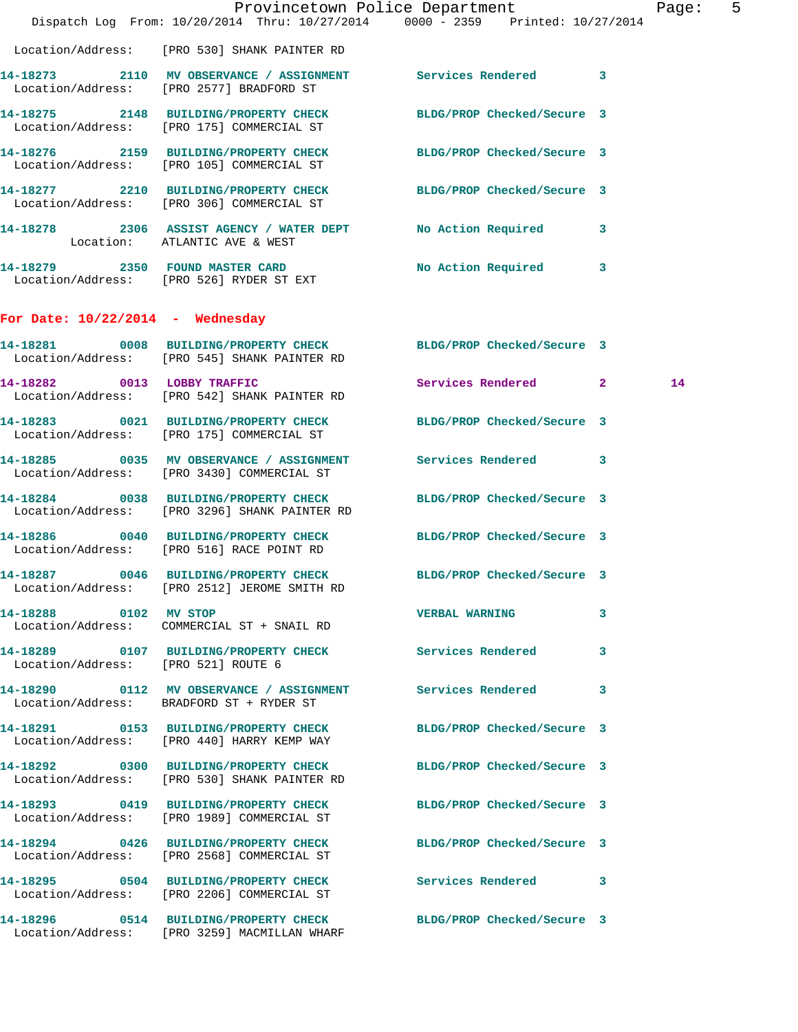|                                     |                                                                                                                   | Provincetown Police Department<br>Dispatch Log From: 10/20/2014 Thru: 10/27/2014 0000 - 2359 Printed: 10/27/2014 | Page: 5 |  |
|-------------------------------------|-------------------------------------------------------------------------------------------------------------------|------------------------------------------------------------------------------------------------------------------|---------|--|
|                                     | Location/Address: [PRO 530] SHANK PAINTER RD                                                                      |                                                                                                                  |         |  |
|                                     | 14-18273 2110 MV OBSERVANCE / ASSIGNMENT Services Rendered 3<br>Location/Address: [PRO 2577] BRADFORD ST          |                                                                                                                  |         |  |
|                                     | 14-18275 2148 BUILDING/PROPERTY CHECK<br>Location/Address: [PRO 175] COMMERCIAL ST                                | BLDG/PROP Checked/Secure 3                                                                                       |         |  |
|                                     | 14-18276 2159 BUILDING/PROPERTY CHECK BLDG/PROP Checked/Secure 3<br>Location/Address: [PRO 105] COMMERCIAL ST     |                                                                                                                  |         |  |
|                                     | 14-18277 2210 BUILDING/PROPERTY CHECK BLDG/PROP Checked/Secure 3<br>Location/Address: [PRO 306] COMMERCIAL ST     |                                                                                                                  |         |  |
|                                     | 14-18278 2306 ASSIST AGENCY / WATER DEPT No Action Required 3<br>Location: ATLANTIC AVE & WEST                    |                                                                                                                  |         |  |
|                                     | 14-18279 2350 FOUND MASTER CARD<br>Location/Address: [PRO 526] RYDER ST EXT                                       | No Action Required 3                                                                                             |         |  |
| For Date: $10/22/2014$ - Wednesday  |                                                                                                                   |                                                                                                                  |         |  |
|                                     | 14-18281 0008 BUILDING/PROPERTY CHECK BLDG/PROP Checked/Secure 3<br>Location/Address: [PRO 545] SHANK PAINTER RD  |                                                                                                                  |         |  |
| 14-18282 0013 LOBBY TRAFFIC         | Location/Address: [PRO 542] SHANK PAINTER RD                                                                      | Services Rendered 2                                                                                              | 14      |  |
|                                     | 14-18283 0021 BUILDING/PROPERTY CHECK BLDG/PROP Checked/Secure 3<br>Location/Address: [PRO 175] COMMERCIAL ST     |                                                                                                                  |         |  |
|                                     | 14-18285 0035 MV OBSERVANCE / ASSIGNMENT Services Rendered 3<br>Location/Address: [PRO 3430] COMMERCIAL ST        |                                                                                                                  |         |  |
|                                     | 14-18284 0038 BUILDING/PROPERTY CHECK BLDG/PROP Checked/Secure 3<br>Location/Address: [PRO 3296] SHANK PAINTER RD |                                                                                                                  |         |  |
|                                     | 14-18286 0040 BUILDING/PROPERTY CHECK BLDG/PROP Checked/Secure 3<br>Location/Address: [PRO 516] RACE POINT RD     |                                                                                                                  |         |  |
|                                     | 14-18287 0046 BUILDING/PROPERTY CHECK BLDG/PROP Checked/Secure 3<br>Location/Address: [PRO 2512] JEROME SMITH RD  |                                                                                                                  |         |  |
| 14-18288 0102 MV STOP               | Location/Address: COMMERCIAL ST + SNAIL RD                                                                        | <b>VERBAL WARNING 3</b>                                                                                          |         |  |
| Location/Address: [PRO 521] ROUTE 6 | 14-18289 0107 BUILDING/PROPERTY CHECK Services Rendered 3                                                         |                                                                                                                  |         |  |
|                                     | 14-18290 0112 MV OBSERVANCE / ASSIGNMENT Services Rendered 3<br>Location/Address: BRADFORD ST + RYDER ST          |                                                                                                                  |         |  |
|                                     | 14-18291 0153 BUILDING/PROPERTY CHECK BLDG/PROP Checked/Secure 3<br>Location/Address: [PRO 440] HARRY KEMP WAY    |                                                                                                                  |         |  |
|                                     | 14-18292 0300 BUILDING/PROPERTY CHECK BLDG/PROP Checked/Secure 3<br>Location/Address: [PRO 530] SHANK PAINTER RD  |                                                                                                                  |         |  |
|                                     | 14-18293 0419 BUILDING/PROPERTY CHECK BLDG/PROP Checked/Secure 3<br>Location/Address: [PRO 1989] COMMERCIAL ST    |                                                                                                                  |         |  |
|                                     | 14-18294 0426 BUILDING/PROPERTY CHECK<br>Location/Address: [PRO 2568] COMMERCIAL ST                               | BLDG/PROP Checked/Secure 3                                                                                       |         |  |
|                                     | 14-18295 0504 BUILDING/PROPERTY CHECK Services Rendered 3<br>Location/Address: [PRO 2206] COMMERCIAL ST           |                                                                                                                  |         |  |
|                                     | 14-18296 0514 BUILDING/PROPERTY CHECK BLDG/PROP Checked/Secure 3<br>Location/Address: [PRO 3259] MACMILLAN WHARF  |                                                                                                                  |         |  |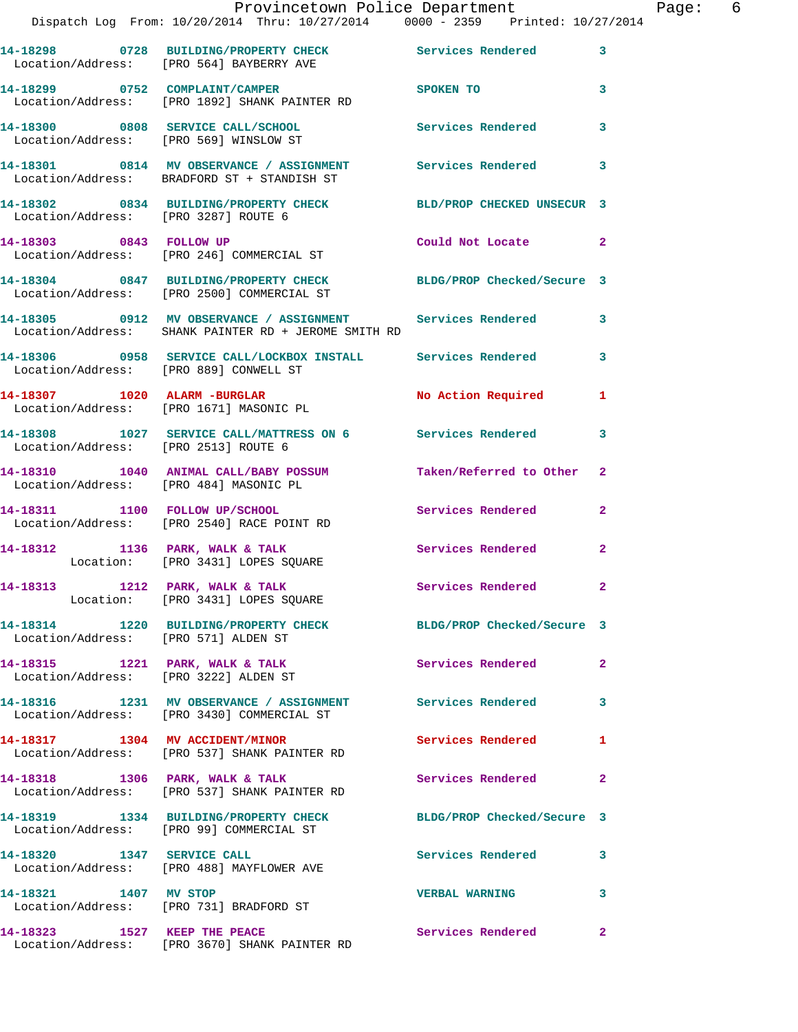|                                      | Provincetown Police Department<br>Dispatch Log From: 10/20/2014 Thru: 10/27/2014 0000 - 2359 Printed: 10/27/2014   |                          | $\mathbf{P}$            |
|--------------------------------------|--------------------------------------------------------------------------------------------------------------------|--------------------------|-------------------------|
|                                      | 14-18298 0728 BUILDING/PROPERTY CHECK Services Rendered<br>Location/Address: [PRO 564] BAYBERRY AVE                |                          | 3                       |
|                                      | 14-18299 0752 COMPLAINT/CAMPER SPOKEN TO<br>Location/Address: [PRO 1892] SHANK PAINTER RD                          |                          | 3                       |
|                                      | 14-18300 0808 SERVICE CALL/SCHOOL Services Rendered<br>Location/Address: [PRO 569] WINSLOW ST                      |                          | 3                       |
|                                      | 14-18301 0814 MV OBSERVANCE / ASSIGNMENT Services Rendered<br>Location/Address: BRADFORD ST + STANDISH ST          |                          | 3                       |
| Location/Address: [PRO 3287] ROUTE 6 | 14-18302 0834 BUILDING/PROPERTY CHECK BLD/PROP CHECKED UNSECUR 3                                                   |                          |                         |
|                                      | 14-18303 0843 FOLLOW UP<br>Location/Address: [PRO 246] COMMERCIAL ST                                               | Could Not Locate         | $\overline{\mathbf{2}}$ |
|                                      | 14-18304 0847 BUILDING/PROPERTY CHECK BLDG/PROP Checked/Secure 3<br>Location/Address: [PRO 2500] COMMERCIAL ST     |                          |                         |
|                                      | 14-18305 0912 MV OBSERVANCE / ASSIGNMENT Services Rendered<br>Location/Address: SHANK PAINTER RD + JEROME SMITH RD |                          | 3                       |
|                                      | 14-18306 0958 SERVICE CALL/LOCKBOX INSTALL Services Rendered<br>Location/Address: [PRO 889] CONWELL ST             |                          | 3                       |
|                                      | 14-18307 1020 ALARM -BURGLAR<br>Location/Address: [PRO 1671] MASONIC PL                                            | No Action Required       | 1                       |
| Location/Address: [PRO 2513] ROUTE 6 | 14-18308 1027 SERVICE CALL/MATTRESS ON 6 Services Rendered                                                         |                          | 3                       |
|                                      | 14-18310 1040 ANIMAL CALL/BABY POSSUM Taken/Referred to Other<br>Location/Address: [PRO 484] MASONIC PL            |                          | $\mathbf{2}$            |
|                                      | 14-18311 1100 FOLLOW UP/SCHOOL<br>Location/Address: [PRO 2540] RACE POINT RD                                       | Services Rendered        | $\mathbf{2}$            |
|                                      | 14-18312 1136 PARK, WALK & TALK<br>Location: [PRO 3431] LOPES SQUARE                                               | Services Rendered        | $\overline{a}$          |
|                                      | 14-18313 1212 PARK, WALK & TALK<br>Location: [PRO 3431] LOPES SQUARE                                               | Services Rendered        |                         |
| Location/Address: [PRO 571] ALDEN ST | 14-18314 1220 BUILDING/PROPERTY CHECK BLDG/PROP Checked/Secure 3                                                   |                          |                         |
| 14-18315 1221 PARK, WALK & TALK      | Location/Address: [PRO 3222] ALDEN ST                                                                              | Services Rendered        | $\overline{a}$          |
|                                      | 14-18316 1231 MV OBSERVANCE / ASSIGNMENT Services Rendered<br>Location/Address: [PRO 3430] COMMERCIAL ST           |                          | 3                       |
| 14-18317 1304 MV ACCIDENT/MINOR      | Location/Address: [PRO 537] SHANK PAINTER RD                                                                       | <b>Services Rendered</b> | 1                       |
|                                      | 14-18318 1306 PARK, WALK & TALK<br>Location/Address: [PRO 537] SHANK PAINTER RD                                    | <b>Services Rendered</b> | $\overline{a}$          |
|                                      | 14-18319 1334 BUILDING/PROPERTY CHECK BLDG/PROP Checked/Secure 3<br>Location/Address: [PRO 99] COMMERCIAL ST       |                          |                         |
|                                      | 14-18320 1347 SERVICE CALL<br>Location/Address: [PRO 488] MAYFLOWER AVE                                            | Services Rendered        | 3                       |
| 14-18321 1407 MV STOP                | Location/Address: [PRO 731] BRADFORD ST                                                                            | <b>VERBAL WARNING</b>    | 3                       |
| 14-18323 1527 KEEP THE PEACE         |                                                                                                                    | Services Rendered        | $\overline{2}$          |

Location/Address: [PRO 3670] SHANK PAINTER RD

Page: 6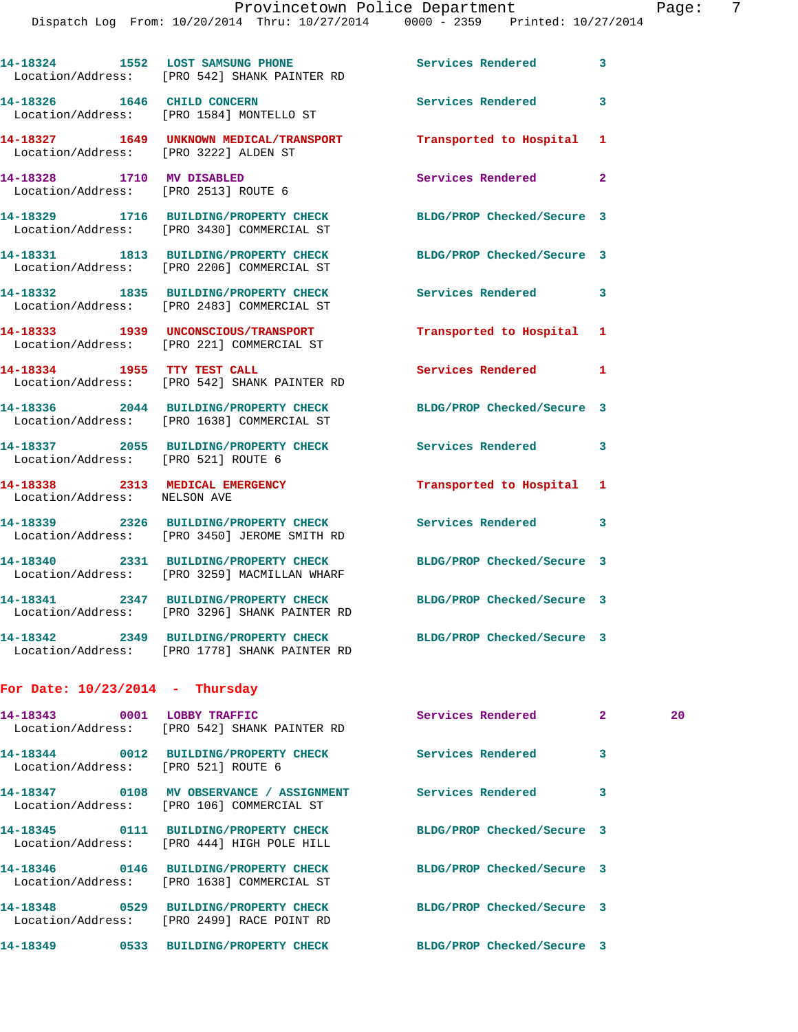|                                                                   | 14-18324 1552 LOST SAMSUNG PHONE<br>Location/Address: [PRO 542] SHANK PAINTER RD                                  | Services Rendered 3        |              |    |
|-------------------------------------------------------------------|-------------------------------------------------------------------------------------------------------------------|----------------------------|--------------|----|
|                                                                   | 14-18326 1646 CHILD CONCERN<br>Location/Address: [PRO 1584] MONTELLO ST                                           | Services Rendered          | 3            |    |
| Location/Address: [PRO 3222] ALDEN ST                             | 14-18327 1649 UNKNOWN MEDICAL/TRANSPORT Transported to Hospital 1                                                 |                            |              |    |
| 14-18328 1710 MV DISABLED<br>Location/Address: [PRO 2513] ROUTE 6 |                                                                                                                   | <b>Services Rendered</b>   | $\mathbf{2}$ |    |
|                                                                   | 14-18329 1716 BUILDING/PROPERTY CHECK BLDG/PROP Checked/Secure 3<br>Location/Address: [PRO 3430] COMMERCIAL ST    |                            |              |    |
|                                                                   | 14-18331 1813 BUILDING/PROPERTY CHECK<br>Location/Address: [PRO 2206] COMMERCIAL ST                               | BLDG/PROP Checked/Secure 3 |              |    |
|                                                                   | 14-18332 1835 BUILDING/PROPERTY CHECK<br>Location/Address: [PRO 2483] COMMERCIAL ST                               | Services Rendered 3        |              |    |
|                                                                   | 14-18333 1939 UNCONSCIOUS/TRANSPORT<br>Location/Address: [PRO 221] COMMERCIAL ST                                  | Transported to Hospital    | 1            |    |
| 14-18334 1955 TTY TEST CALL                                       | Location/Address: [PRO 542] SHANK PAINTER RD                                                                      | Services Rendered 1        |              |    |
|                                                                   | 14-18336 2044 BUILDING/PROPERTY CHECK<br>Location/Address: [PRO 1638] COMMERCIAL ST                               | BLDG/PROP Checked/Secure 3 |              |    |
| Location/Address: [PRO 521] ROUTE 6                               | 14-18337 2055 BUILDING/PROPERTY CHECK                                                                             | <b>Services Rendered</b>   | 3            |    |
| Location/Address: NELSON AVE                                      | 14-18338 2313 MEDICAL EMERGENCY                                                                                   | Transported to Hospital 1  |              |    |
|                                                                   | 14-18339 2326 BUILDING/PROPERTY CHECK<br>Location/Address: [PRO 3450] JEROME SMITH RD                             | Services Rendered          | 3            |    |
|                                                                   | 14-18340 2331 BUILDING/PROPERTY CHECK BLDG/PROP Checked/Secure 3<br>Location/Address: [PRO 3259] MACMILLAN WHARF  |                            |              |    |
|                                                                   | 14-18341 2347 BUILDING/PROPERTY CHECK BLDG/PROP Checked/Secure 3<br>Location/Address: [PRO 3296] SHANK PAINTER RD |                            |              |    |
|                                                                   | 14-18342 2349 BUILDING/PROPERTY CHECK BLDG/PROP Checked/Secure 3<br>Location/Address: [PRO 1778] SHANK PAINTER RD |                            |              |    |
| For Date: $10/23/2014$ - Thursday                                 |                                                                                                                   |                            |              |    |
|                                                                   | 14-18343 0001 LOBBY TRAFFIC<br>Location/Address: [PRO 542] SHANK PAINTER RD                                       | Services Rendered          | $\mathbf{2}$ | 20 |
| Location/Address: [PRO 521] ROUTE 6                               | 14-18344 0012 BUILDING/PROPERTY CHECK Services Rendered                                                           |                            | 3            |    |
|                                                                   | 14-18347 0108 MV OBSERVANCE / ASSIGNMENT Services Rendered<br>Location/Address: [PRO 106] COMMERCIAL ST           |                            | 3            |    |
|                                                                   | 14-18345 0111 BUILDING/PROPERTY CHECK<br>Location/Address: [PRO 444] HIGH POLE HILL                               | BLDG/PROP Checked/Secure 3 |              |    |
|                                                                   | 14-18346 0146 BUILDING/PROPERTY CHECK<br>Location/Address: [PRO 1638] COMMERCIAL ST                               | BLDG/PROP Checked/Secure 3 |              |    |
|                                                                   | 14-18348 0529 BUILDING/PROPERTY CHECK<br>Location/Address: [PRO 2499] RACE POINT RD                               | BLDG/PROP Checked/Secure 3 |              |    |

**14-18349 0533 BUILDING/PROPERTY CHECK BLDG/PROP Checked/Secure 3**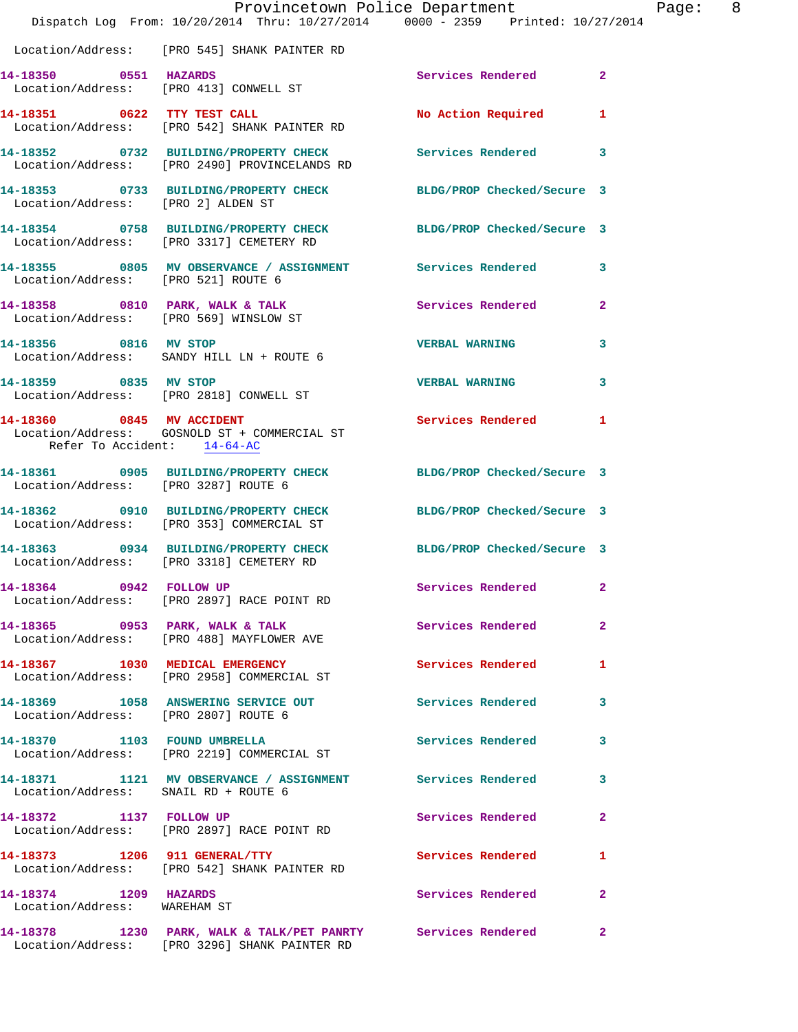|                                                       | Dispatch Log From: 10/20/2014 Thru: 10/27/2014 0000 - 2359 Printed: 10/27/2014                                  | Provincetown Police Department | Page: 8        |
|-------------------------------------------------------|-----------------------------------------------------------------------------------------------------------------|--------------------------------|----------------|
|                                                       | Location/Address: [PRO 545] SHANK PAINTER RD                                                                    |                                |                |
| 14-18350 0551 HAZARDS                                 | Location/Address: [PRO 413] CONWELL ST                                                                          | Services Rendered 2            |                |
|                                                       | 14-18351 0622 TTY TEST CALL<br>Location/Address: [PRO 542] SHANK PAINTER RD                                     | No Action Required 1           |                |
|                                                       | 14-18352 0732 BUILDING/PROPERTY CHECK Services Rendered 3<br>Location/Address: [PRO 2490] PROVINCELANDS RD      |                                |                |
|                                                       | 14-18353 0733 BUILDING/PROPERTY CHECK BLDG/PROP Checked/Secure 3<br>Location/Address: [PRO 2] ALDEN ST          |                                |                |
|                                                       | 14-18354 0758 BUILDING/PROPERTY CHECK BLDG/PROP Checked/Secure 3<br>Location/Address: [PRO 3317] CEMETERY RD    |                                |                |
| Location/Address: [PRO 521] ROUTE 6                   | 14-18355 0805 MV OBSERVANCE / ASSIGNMENT Services Rendered 3                                                    |                                |                |
| Location/Address: [PRO 569] WINSLOW ST                | 14-18358 0810 PARK, WALK & TALK Services Rendered                                                               |                                | $\overline{2}$ |
|                                                       | 14-18356 0816 MV STOP<br>Location/Address: SANDY HILL LN + ROUTE 6                                              | <b>VERBAL WARNING</b>          | $\mathbf{3}$   |
|                                                       | 14-18359 0835 MV STOP<br>Location/Address: [PRO 2818] CONWELL ST                                                | <b>VERBAL WARNING</b>          | 3              |
| Refer To Accident: 14-64-AC                           | 14-18360 0845 MV ACCIDENT<br>Location/Address: GOSNOLD ST + COMMERCIAL ST                                       | Services Rendered 1            |                |
| Location/Address: [PRO 3287] ROUTE 6                  | 14-18361 0905 BUILDING/PROPERTY CHECK BLDG/PROP Checked/Secure 3                                                |                                |                |
|                                                       | 14-18362 0910 BUILDING/PROPERTY CHECK BLDG/PROP Checked/Secure 3<br>Location/Address: [PRO 353] COMMERCIAL ST   |                                |                |
|                                                       | 14-18363 0934 BUILDING/PROPERTY CHECK BLDG/PROP Checked/Secure 3<br>Location/Address: [PRO 3318] CEMETERY RD    |                                |                |
|                                                       | 14-18364 0942 FOLLOW UP<br>Location/Address: [PRO 2897] RACE POINT RD                                           | Services Rendered 2            |                |
|                                                       | 14-18365 0953 PARK, WALK & TALK<br>Location/Address: [PRO 488] MAYFLOWER AVE                                    | Services Rendered              | $\overline{2}$ |
|                                                       | 14-18367 1030 MEDICAL EMERGENCY<br>Location/Address: [PRO 2958] COMMERCIAL ST                                   | <b>Services Rendered</b> 1     |                |
| Location/Address: [PRO 2807] ROUTE 6                  | 14-18369 1058 ANSWERING SERVICE OUT                                                                             | Services Rendered              | 3              |
|                                                       | 14-18370 1103 FOUND UMBRELLA<br>Location/Address: [PRO 2219] COMMERCIAL ST                                      | Services Rendered 3            |                |
| Location/Address: SNAIL RD + ROUTE 6                  | 14-18371 1121 MV OBSERVANCE / ASSIGNMENT Services Rendered                                                      |                                | 3              |
| 14-18372 1137 FOLLOW UP                               | Location/Address: [PRO 2897] RACE POINT RD                                                                      | Services Rendered              | $\mathbf{2}$   |
|                                                       | 14-18373 1206 911 GENERAL/TTY<br>Location/Address: [PRO 542] SHANK PAINTER RD                                   | Services Rendered              | 1              |
| 14-18374 1209 HAZARDS<br>Location/Address: WAREHAM ST |                                                                                                                 | Services Rendered              | $\mathbf{2}$   |
|                                                       | 14-18378 1230 PARK, WALK & TALK/PET PANRTY Services Rendered 2<br>Location/Address: [PRO 3296] SHANK PAINTER RD |                                |                |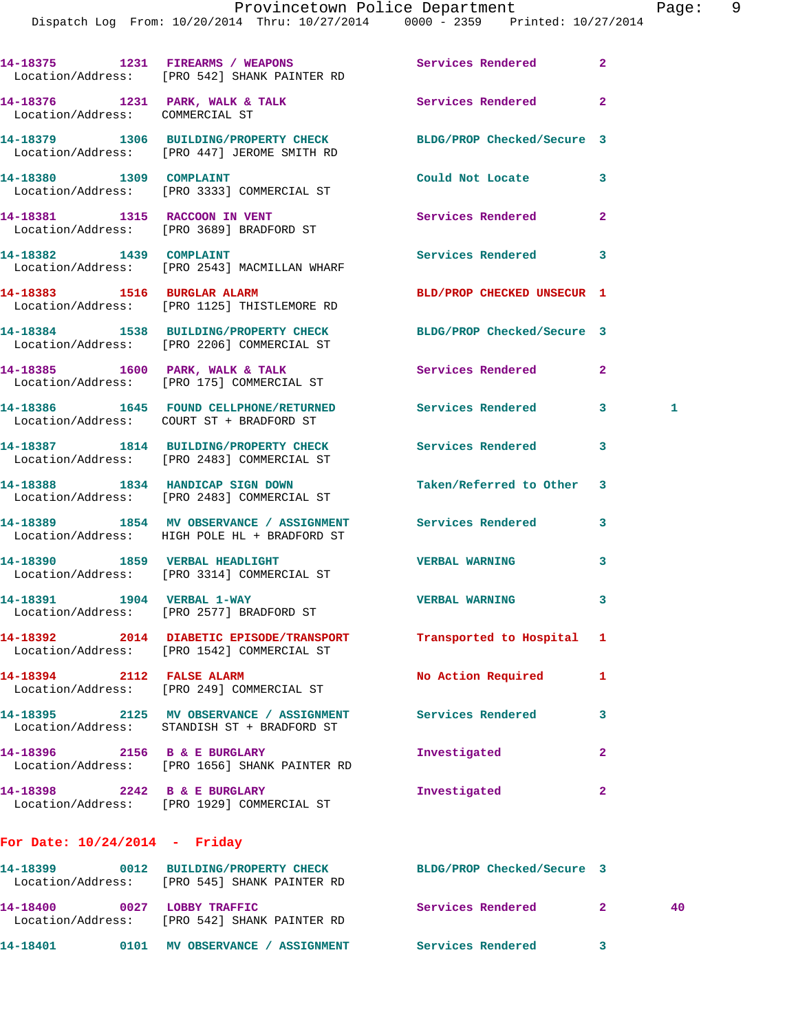|                                 | 14-18375 1231 FIREARMS / WEAPONS<br>Location/Address: [PRO 542] SHANK PAINTER RD                           | Services Rendered          | $\overline{2}$    |
|---------------------------------|------------------------------------------------------------------------------------------------------------|----------------------------|-------------------|
| Location/Address: COMMERCIAL ST | 14-18376 1231 PARK, WALK & TALK                                                                            | Services Rendered          | $\mathbf{2}$      |
|                                 | 14-18379 1306 BUILDING/PROPERTY CHECK<br>Location/Address: [PRO 447] JEROME SMITH RD                       | BLDG/PROP Checked/Secure 3 |                   |
| 14-18380 1309 COMPLAINT         | Location/Address: [PRO 3333] COMMERCIAL ST                                                                 | Could Not Locate           | 3                 |
|                                 | 14-18381 1315 RACCOON IN VENT<br>Location/Address: [PRO 3689] BRADFORD ST                                  | Services Rendered          | $\overline{2}$    |
| 14-18382 1439 COMPLAINT         | Location/Address: [PRO 2543] MACMILLAN WHARF                                                               | Services Rendered          | 3                 |
|                                 | 14-18383 1516 BURGLAR ALARM<br>Location/Address: [PRO 1125] THISTLEMORE RD                                 | BLD/PROP CHECKED UNSECUR 1 |                   |
|                                 | 14-18384 1538 BUILDING/PROPERTY CHECK<br>Location/Address: [PRO 2206] COMMERCIAL ST                        | BLDG/PROP Checked/Secure 3 |                   |
|                                 | 14-18385 1600 PARK, WALK & TALK<br>Location/Address: [PRO 175] COMMERCIAL ST                               | Services Rendered          | $\mathbf{2}$      |
|                                 | 14-18386 1645 FOUND CELLPHONE/RETURNED<br>Location/Address: COURT ST + BRADFORD ST                         | Services Rendered          | 3<br>$\mathbf{1}$ |
|                                 | 14-18387 1814 BUILDING/PROPERTY CHECK<br>Location/Address: [PRO 2483] COMMERCIAL ST                        | <b>Services Rendered</b>   | 3                 |
|                                 | 14-18388 1834 HANDICAP SIGN DOWN<br>Location/Address: [PRO 2483] COMMERCIAL ST                             | Taken/Referred to Other    | 3                 |
|                                 | 14-18389 1854 MV OBSERVANCE / ASSIGNMENT Services Rendered<br>Location/Address: HIGH POLE HL + BRADFORD ST |                            | 3                 |
|                                 | 14-18390 1859 VERBAL HEADLIGHT<br>Location/Address: [PRO 3314] COMMERCIAL ST                               | <b>VERBAL WARNING</b>      | 3                 |
|                                 | 14-18391 1904 VERBAL 1-WAY<br>Location/Address: [PRO 2577] BRADFORD ST                                     | <b>VERBAL WARNING</b>      | 3                 |
|                                 | 14-18392 2014 DIABETIC EPISODE/TRANSPORT<br>Location/Address: [PRO 1542] COMMERCIAL ST                     | Transported to Hospital 1  |                   |
| 14-18394 2112 FALSE ALARM       | Location/Address: [PRO 249] COMMERCIAL ST                                                                  | No Action Required         | 1                 |
|                                 | 14-18395 2125 MV OBSERVANCE / ASSIGNMENT<br>Location/Address: STANDISH ST + BRADFORD ST                    | Services Rendered          | 3                 |
| 14-18396 2156 B & E BURGLARY    | Location/Address: [PRO 1656] SHANK PAINTER RD                                                              | Investigated               | 2                 |
| 14-18398 2242 B & E BURGLARY    | Location/Address: [PRO 1929] COMMERCIAL ST                                                                 | Investigated               | $\mathbf{2}$      |
| For Date: $10/24/2014$ - Friday |                                                                                                            |                            |                   |
| 14-18399                        | 0012 BUILDING/PROPERTY CHECK<br>Location/Address: [PRO 545] SHANK PAINTER RD                               | BLDG/PROP Checked/Secure 3 |                   |

**14-18400 0027 LOBBY TRAFFIC Services Rendered 2 40**  Location/Address: [PRO 542] SHANK PAINTER RD **14-18401 0101 MV OBSERVANCE / ASSIGNMENT Services Rendered 3**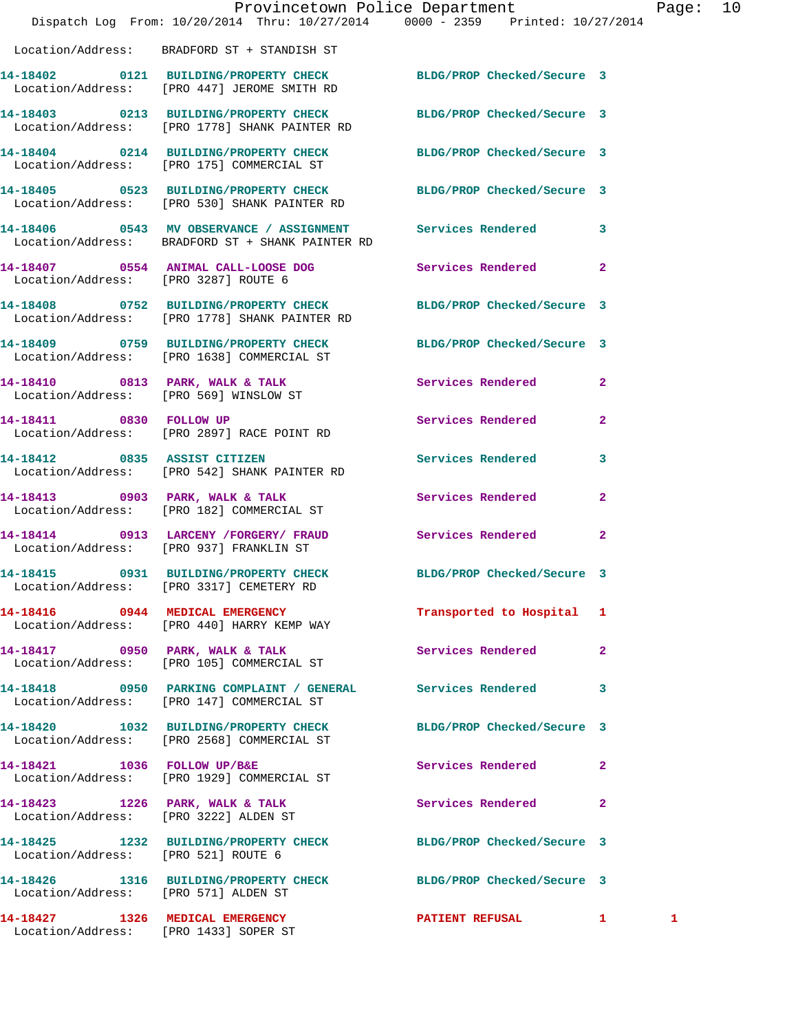|                                      | Dispatch Log From: 10/20/2014 Thru: 10/27/2014 0000 - 2359 Printed: 10/27/2014                                    | Provincetown Police Department |              | Page: | 10 |
|--------------------------------------|-------------------------------------------------------------------------------------------------------------------|--------------------------------|--------------|-------|----|
|                                      | Location/Address: BRADFORD ST + STANDISH ST                                                                       |                                |              |       |    |
|                                      | 14-18402 0121 BUILDING/PROPERTY CHECK BLDG/PROP Checked/Secure 3<br>Location/Address: [PRO 447] JEROME SMITH RD   |                                |              |       |    |
|                                      | 14-18403 0213 BUILDING/PROPERTY CHECK BLDG/PROP Checked/Secure 3<br>Location/Address: [PRO 1778] SHANK PAINTER RD |                                |              |       |    |
|                                      | 14-18404 0214 BUILDING/PROPERTY CHECK BLDG/PROP Checked/Secure 3<br>Location/Address: [PRO 175] COMMERCIAL ST     |                                |              |       |    |
|                                      | 14-18405 0523 BUILDING/PROPERTY CHECK BLDG/PROP Checked/Secure 3<br>Location/Address: [PRO 530] SHANK PAINTER RD  |                                |              |       |    |
|                                      | 14-18406 0543 MV OBSERVANCE / ASSIGNMENT Services Rendered 3<br>Location/Address: BRADFORD ST + SHANK PAINTER RD  |                                |              |       |    |
| Location/Address: [PRO 3287] ROUTE 6 | 14-18407 0554 ANIMAL CALL-LOOSE DOG Services Rendered 2                                                           |                                |              |       |    |
|                                      | 14-18408 0752 BUILDING/PROPERTY CHECK BLDG/PROP Checked/Secure 3<br>Location/Address: [PRO 1778] SHANK PAINTER RD |                                |              |       |    |
|                                      | 14-18409 0759 BUILDING/PROPERTY CHECK BLDG/PROP Checked/Secure 3<br>Location/Address: [PRO 1638] COMMERCIAL ST    |                                |              |       |    |
|                                      | 14-18410 0813 PARK, WALK & TALK<br>Location/Address: [PRO 569] WINSLOW ST                                         | Services Rendered 2            |              |       |    |
|                                      | 14-18411 0830 FOLLOW UP<br>Location/Address: [PRO 2897] RACE POINT RD                                             | Services Rendered              | $\mathbf{2}$ |       |    |
| 14-18412 0835 ASSIST CITIZEN         | Location/Address: [PRO 542] SHANK PAINTER RD                                                                      | Services Rendered              | 3            |       |    |
|                                      | 14-18413 0903 PARK, WALK & TALK<br>Location/Address: [PRO 182] COMMERCIAL ST                                      | Services Rendered              | $\mathbf{2}$ |       |    |
|                                      | 14-18414 0913 LARCENY /FORGERY/ FRAUD Services Rendered<br>Location/Address: [PRO 937] FRANKLIN ST                |                                | $\mathbf{2}$ |       |    |
|                                      | 14-18415 0931 BUILDING/PROPERTY CHECK BLDG/PROP Checked/Secure 3<br>Location/Address: [PRO 3317] CEMETERY RD      |                                |              |       |    |
|                                      | 14-18416 0944 MEDICAL EMERGENCY<br>Location/Address: [PRO 440] HARRY KEMP WAY                                     | Transported to Hospital 1      |              |       |    |
|                                      | 14-18417 0950 PARK, WALK & TALK<br>Location/Address: [PRO 105] COMMERCIAL ST                                      | Services Rendered              | $\mathbf{2}$ |       |    |
|                                      | 14-18418 0950 PARKING COMPLAINT / GENERAL Services Rendered 3<br>Location/Address: [PRO 147] COMMERCIAL ST        |                                |              |       |    |
|                                      | 14-18420 1032 BUILDING/PROPERTY CHECK<br>Location/Address: [PRO 2568] COMMERCIAL ST                               | BLDG/PROP Checked/Secure 3     |              |       |    |
| 14-18421 1036 FOLLOW UP/B&E          | Location/Address: [PRO 1929] COMMERCIAL ST                                                                        | Services Rendered 2            |              |       |    |
|                                      | 14-18423 1226 PARK, WALK & TALK<br>Location/Address: [PRO 3222] ALDEN ST                                          | Services Rendered 2            |              |       |    |
| Location/Address: [PRO 521] ROUTE 6  | 14-18425 1232 BUILDING/PROPERTY CHECK BLDG/PROP Checked/Secure 3                                                  |                                |              |       |    |
| Location/Address: [PRO 571] ALDEN ST | 14-18426 1316 BUILDING/PROPERTY CHECK BLDG/PROP Checked/Secure 3                                                  |                                |              |       |    |
| 14-18427 1326 MEDICAL EMERGENCY      | Location/Address: [PRO 1433] SOPER ST                                                                             | PATIENT REFUSAL 1              |              | 1     |    |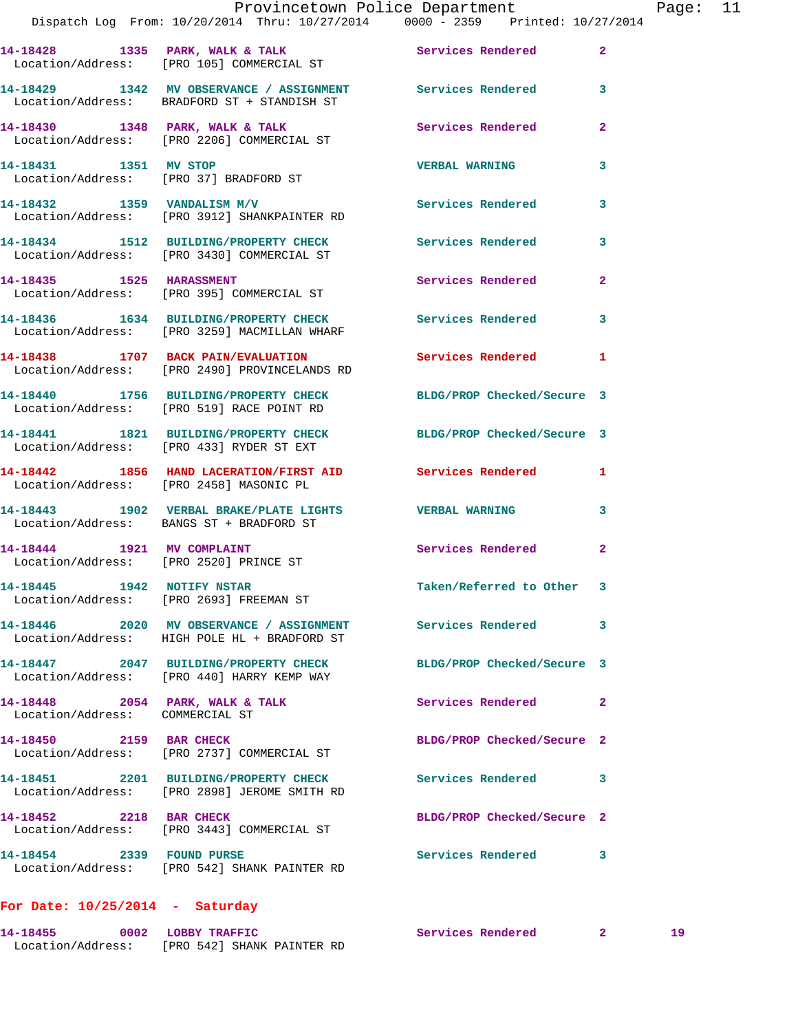|                                 | Provincetown Police Department<br>Dispatch Log From: 10/20/2014 Thru: 10/27/2014 0000 - 2359 Printed: 10/27/2014 |                            |                |
|---------------------------------|------------------------------------------------------------------------------------------------------------------|----------------------------|----------------|
|                                 | 14-18428 1335 PARK, WALK & TALK 1988 Services Rendered<br>Location/Address: [PRO 105] COMMERCIAL ST              |                            | $\overline{2}$ |
|                                 | 14-18429 1342 MV OBSERVANCE / ASSIGNMENT Services Rendered<br>Location/Address: BRADFORD ST + STANDISH ST        |                            | 3              |
|                                 | 14-18430 1348 PARK, WALK & TALK 1988 Services Rendered<br>Location/Address: [PRO 2206] COMMERCIAL ST             |                            | $\mathbf{2}$   |
| 14-18431 1351 MV STOP           | Location/Address: [PRO 37] BRADFORD ST                                                                           | <b>VERBAL WARNING</b>      | 3              |
|                                 | 14-18432 1359 VANDALISM M/V<br>Location/Address: [PRO 3912] SHANKPAINTER RD                                      | Services Rendered          | 3              |
|                                 | 14-18434 1512 BUILDING/PROPERTY CHECK Services Rendered<br>Location/Address: [PRO 3430] COMMERCIAL ST            |                            | 3              |
|                                 | 14-18435 1525 HARASSMENT<br>Location/Address: [PRO 395] COMMERCIAL ST                                            | Services Rendered          | $\overline{a}$ |
|                                 | 14-18436 1634 BUILDING/PROPERTY CHECK Services Rendered<br>Location/Address: [PRO 3259] MACMILLAN WHARF          |                            | 3              |
|                                 | 14-18438 1707 BACK PAIN/EVALUATION<br>Location/Address: [PRO 2490] PROVINCELANDS RD                              | Services Rendered          | 1              |
|                                 | 14-18440 1756 BUILDING/PROPERTY CHECK BLDG/PROP Checked/Secure 3<br>Location/Address: [PRO 519] RACE POINT RD    |                            |                |
|                                 | 14-18441 1821 BUILDING/PROPERTY CHECK BLDG/PROP Checked/Secure 3<br>Location/Address: [PRO 433] RYDER ST EXT     |                            |                |
|                                 | 14-18442 1856 HAND LACERATION/FIRST AID Services Rendered<br>Location/Address: [PRO 2458] MASONIC PL             |                            | 1              |
|                                 | 14-18443 1902 VERBAL BRAKE/PLATE LIGHTS VERBAL WARNING<br>Location/Address: BANGS ST + BRADFORD ST               |                            | 3              |
|                                 | 14-18444 1921 MV COMPLAINT<br>Location/Address: [PRO 2520] PRINCE ST                                             | Services Rendered          | $\overline{a}$ |
|                                 | 14-18445    1942    NOTIFY NSTAR<br>Location/Address: [PRO 2693] FREEMAN ST                                      | Taken/Referred to Other    | 3              |
|                                 | 14-18446 2020 MV OBSERVANCE / ASSIGNMENT<br>Location/Address: HIGH POLE HL + BRADFORD ST                         | Services Rendered          | 3              |
|                                 | 14-18447 2047 BUILDING/PROPERTY CHECK<br>Location/Address: [PRO 440] HARRY KEMP WAY                              | BLDG/PROP Checked/Secure 3 |                |
| Location/Address: COMMERCIAL ST | $14-18448$ 2054 PARK, WALK & TALK                                                                                | Services Rendered          | 2              |
| 14-18450 2159 BAR CHECK         | Location/Address: [PRO 2737] COMMERCIAL ST                                                                       | BLDG/PROP Checked/Secure 2 |                |
|                                 | 14-18451 2201 BUILDING/PROPERTY CHECK<br>Location/Address: [PRO 2898] JEROME SMITH RD                            | Services Rendered          | 3              |
| 14-18452 2218 BAR CHECK         | Location/Address: [PRO 3443] COMMERCIAL ST                                                                       | BLDG/PROP Checked/Secure 2 |                |
| 14-18454 2339 FOUND PURSE       | Location/Address: [PRO 542] SHANK PAINTER RD                                                                     | Services Rendered          | 3              |
|                                 |                                                                                                                  |                            |                |

**For Date: 10/25/2014 - Saturday**

**14-18455 0002 LOBBY TRAFFIC Services Rendered 2 19**  Location/Address: [PRO 542] SHANK PAINTER RD

Page: 11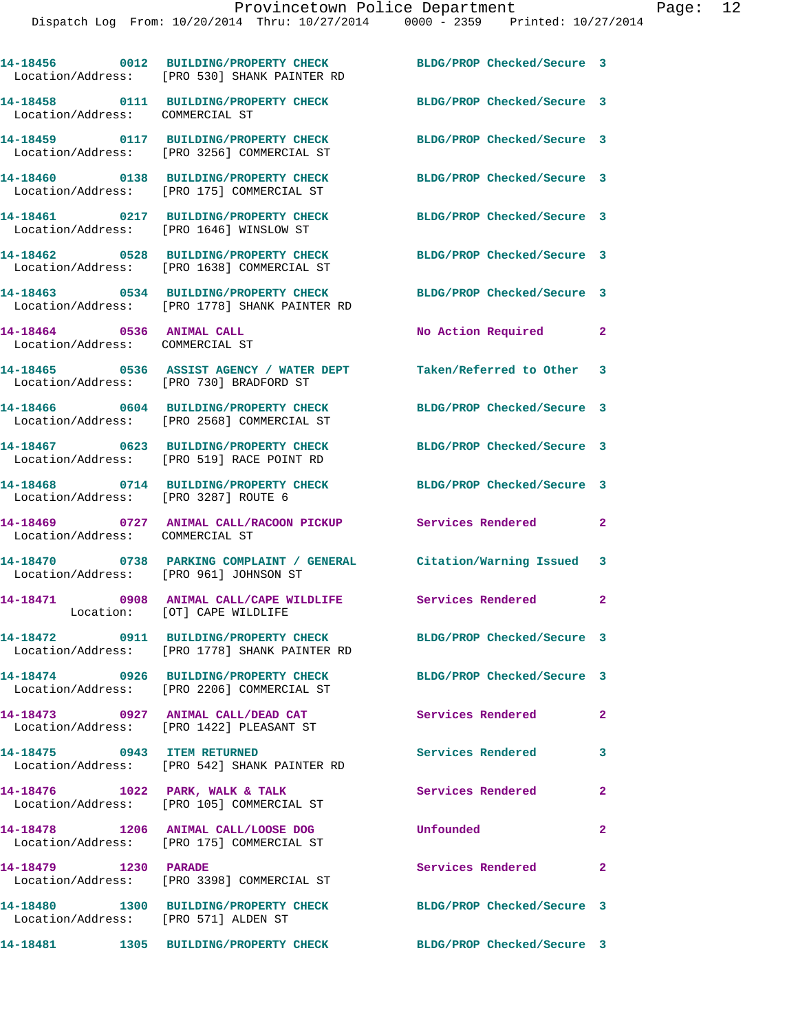|                                                              | 14-18456 0012 BUILDING/PROPERTY CHECK<br>Location/Address: [PRO 530] SHANK PAINTER RD     | BLDG/PROP Checked/Secure 3 |                            |
|--------------------------------------------------------------|-------------------------------------------------------------------------------------------|----------------------------|----------------------------|
| Location/Address: COMMERCIAL ST                              | 14-18458 0111 BUILDING/PROPERTY CHECK                                                     | BLDG/PROP Checked/Secure 3 |                            |
|                                                              | 14-18459 0117 BUILDING/PROPERTY CHECK<br>Location/Address: [PRO 3256] COMMERCIAL ST       | BLDG/PROP Checked/Secure 3 |                            |
|                                                              | 14-18460 0138 BUILDING/PROPERTY CHECK<br>Location/Address: [PRO 175] COMMERCIAL ST        | BLDG/PROP Checked/Secure 3 |                            |
|                                                              | 14-18461 0217 BUILDING/PROPERTY CHECK<br>Location/Address: [PRO 1646] WINSLOW ST          | BLDG/PROP Checked/Secure 3 |                            |
|                                                              | 14-18462 0528 BUILDING/PROPERTY CHECK<br>Location/Address: [PRO 1638] COMMERCIAL ST       | BLDG/PROP Checked/Secure 3 |                            |
|                                                              | 14-18463 0534 BUILDING/PROPERTY CHECK<br>Location/Address: [PRO 1778] SHANK PAINTER RD    | BLDG/PROP Checked/Secure 3 |                            |
| 14-18464 0536 ANIMAL CALL<br>Location/Address: COMMERCIAL ST |                                                                                           | No Action Required         | $\mathbf{2}$               |
|                                                              | 14-18465 0536 ASSIST AGENCY / WATER DEPT<br>Location/Address: [PRO 730] BRADFORD ST       | Taken/Referred to Other 3  |                            |
|                                                              | 14-18466 0604 BUILDING/PROPERTY CHECK<br>Location/Address: [PRO 2568] COMMERCIAL ST       | BLDG/PROP Checked/Secure 3 |                            |
|                                                              | 14-18467 0623 BUILDING/PROPERTY CHECK<br>Location/Address: [PRO 519] RACE POINT RD        | BLDG/PROP Checked/Secure 3 |                            |
| Location/Address: [PRO 3287] ROUTE 6                         | 14-18468 0714 BUILDING/PROPERTY CHECK                                                     | BLDG/PROP Checked/Secure 3 |                            |
| Location/Address: COMMERCIAL ST                              | 14-18469 0727 ANIMAL CALL/RACOON PICKUP Services Rendered                                 |                            | $\mathbf{2}$               |
| 14-18470<br>Location/Address: [PRO 961] JOHNSON ST           | 0738 PARKING COMPLAINT / GENERAL Citation/Warning Issued 3                                |                            |                            |
|                                                              | 14-18471 0908 ANIMAL CALL/CAPE WILDLIFE Services Rendered<br>Location: [OT] CAPE WILDLIFE |                            | $\mathbf{2}$               |
|                                                              | 14-18472 0911 BUILDING/PROPERTY CHECK<br>Location/Address: [PRO 1778] SHANK PAINTER RD    | BLDG/PROP Checked/Secure 3 |                            |
|                                                              | 14-18474 0926 BUILDING/PROPERTY CHECK<br>Location/Address: [PRO 2206] COMMERCIAL ST       | BLDG/PROP Checked/Secure 3 |                            |
|                                                              | 14-18473 0927 ANIMAL CALL/DEAD CAT<br>Location/Address: [PRO 1422] PLEASANT ST            | Services Rendered          | $\mathbf{2}$               |
| 14-18475 0943 ITEM RETURNED                                  | Location/Address: [PRO 542] SHANK PAINTER RD                                              | Services Rendered          | 3                          |
| 14-18476    1022    PARK, WALK & TALK                        | Location/Address: [PRO 105] COMMERCIAL ST                                                 | Services Rendered          | $\overline{a}$             |
|                                                              | 14-18478 1206 ANIMAL CALL/LOOSE DOG<br>Location/Address: [PRO 175] COMMERCIAL ST          | Unfounded                  | $\overline{2}$             |
| 14-18479 1230 PARADE                                         | Location/Address: [PRO 3398] COMMERCIAL ST                                                | Services Rendered          | $\overline{\phantom{0}}$ 2 |
| Location/Address: [PRO 571] ALDEN ST                         | 14-18480 1300 BUILDING/PROPERTY CHECK                                                     | BLDG/PROP Checked/Secure 3 |                            |
|                                                              |                                                                                           |                            |                            |

**14-18481 1305 BUILDING/PROPERTY CHECK BLDG/PROP Checked/Secure 3**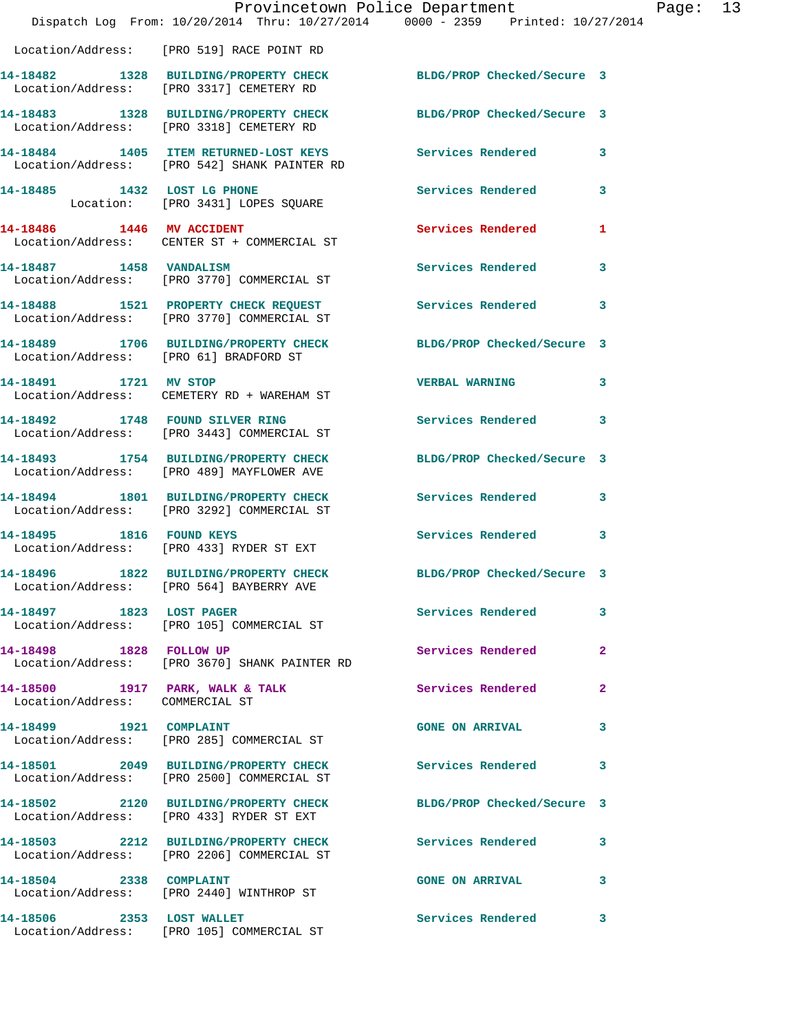|                                 | Dispatch Log From: 10/20/2014 Thru: 10/27/2014 0000 - 2359 Printed: 10/27/2014                               | Provincetown Police Department |              | Page: 13 |  |
|---------------------------------|--------------------------------------------------------------------------------------------------------------|--------------------------------|--------------|----------|--|
|                                 | Location/Address: [PRO 519] RACE POINT RD                                                                    |                                |              |          |  |
|                                 | 14-18482 1328 BUILDING/PROPERTY CHECK<br>Location/Address: [PRO 3317] CEMETERY RD                            | BLDG/PROP Checked/Secure 3     |              |          |  |
|                                 | 14-18483 1328 BUILDING/PROPERTY CHECK<br>Location/Address: [PRO 3318] CEMETERY RD                            | BLDG/PROP Checked/Secure 3     |              |          |  |
|                                 | 14-18484 1405 ITEM RETURNED-LOST KEYS<br>Location/Address: [PRO 542] SHANK PAINTER RD                        | Services Rendered 3            |              |          |  |
|                                 | 14-18485 1432 LOST LG PHONE<br>Location: [PRO 3431] LOPES SQUARE                                             | Services Rendered              | 3            |          |  |
| 14-18486 1446 MV ACCIDENT       | Location/Address: CENTER ST + COMMERCIAL ST                                                                  | Services Rendered 1            |              |          |  |
|                                 | 14-18487 1458 VANDALISM<br>Location/Address: [PRO 3770] COMMERCIAL ST                                        | Services Rendered              | 3            |          |  |
|                                 | 14-18488 1521 PROPERTY CHECK REQUEST Services Rendered 3<br>Location/Address: [PRO 3770] COMMERCIAL ST       |                                |              |          |  |
|                                 | 14-18489 1706 BUILDING/PROPERTY CHECK BLDG/PROP Checked/Secure 3<br>Location/Address: [PRO 61] BRADFORD ST   |                                |              |          |  |
| 14-18491 1721 MV STOP           | Location/Address: CEMETERY RD + WAREHAM ST                                                                   | <b>VERBAL WARNING</b>          | 3            |          |  |
|                                 | 14-18492 1748 FOUND SILVER RING<br>Location/Address: [PRO 3443] COMMERCIAL ST                                | Services Rendered 3            |              |          |  |
|                                 | 14-18493 1754 BUILDING/PROPERTY CHECK<br>Location/Address: [PRO 489] MAYFLOWER AVE                           | BLDG/PROP Checked/Secure 3     |              |          |  |
|                                 | 14-18494 1801 BUILDING/PROPERTY CHECK<br>Location/Address: [PRO 3292] COMMERCIAL ST                          | Services Rendered 3            |              |          |  |
|                                 | 14-18495 1816 FOUND KEYS<br>Location/Address: [PRO 433] RYDER ST EXT                                         | Services Rendered              | 3            |          |  |
|                                 | 14-18496 1822 BUILDING/PROPERTY CHECK BLDG/PROP Checked/Secure 3<br>Location/Address: [PRO 564] BAYBERRY AVE |                                |              |          |  |
| 14-18497 1823 LOST PAGER        | Location/Address: [PRO 105] COMMERCIAL ST                                                                    | Services Rendered 3            |              |          |  |
|                                 | 14-18498 1828 FOLLOW UP<br>Location/Address: [PRO 3670] SHANK PAINTER RD                                     | Services Rendered              | $\mathbf{2}$ |          |  |
| Location/Address: COMMERCIAL ST | 14-18500 1917 PARK, WALK & TALK 1998 Services Rendered                                                       |                                | $\mathbf{2}$ |          |  |
|                                 | 14-18499 1921 COMPLAINT<br>Location/Address: [PRO 285] COMMERCIAL ST                                         | <b>GONE ON ARRIVAL</b>         | 3            |          |  |
|                                 | 14-18501 2049 BUILDING/PROPERTY CHECK Services Rendered<br>Location/Address: [PRO 2500] COMMERCIAL ST        |                                | 3            |          |  |
|                                 | 14-18502 2120 BUILDING/PROPERTY CHECK<br>Location/Address: [PRO 433] RYDER ST EXT                            | BLDG/PROP Checked/Secure 3     |              |          |  |
|                                 | 14-18503 2212 BUILDING/PROPERTY CHECK Services Rendered<br>Location/Address: [PRO 2206] COMMERCIAL ST        |                                | 3            |          |  |
|                                 | 14-18504 2338 COMPLAINT<br>Location/Address: [PRO 2440] WINTHROP ST                                          | GONE ON ARRIVAL 3              |              |          |  |
| 14-18506 2353 LOST WALLET       | Location/Address: [PRO 105] COMMERCIAL ST                                                                    | Services Rendered              | 3            |          |  |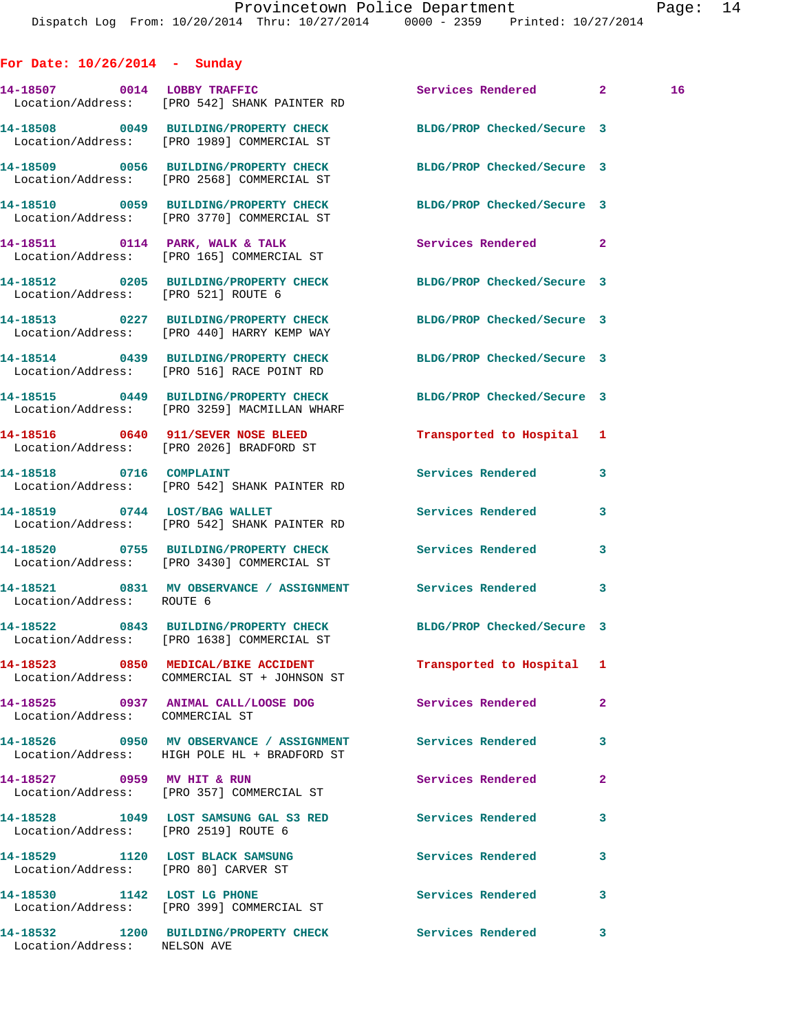**For Date: 10/26/2014 - Sunday**

**14-18507 0014 LOBBY TRAFFIC Services Rendered 2 16**  Location/Address: [PRO 542] SHANK PAINTER RD **14-18508 0049 BUILDING/PROPERTY CHECK BLDG/PROP Checked/Secure 3**  Location/Address: [PRO 1989] COMMERCIAL ST **14-18509 0056 BUILDING/PROPERTY CHECK BLDG/PROP Checked/Secure 3**  Location/Address: [PRO 2568] COMMERCIAL ST **14-18510 0059 BUILDING/PROPERTY CHECK BLDG/PROP Checked/Secure 3**  Location/Address: [PRO 3770] COMMERCIAL ST **14-18511 0114 PARK, WALK & TALK Services Rendered 2**  Location/Address: [PRO 165] COMMERCIAL ST **14-18512 0205 BUILDING/PROPERTY CHECK BLDG/PROP Checked/Secure 3**  Location/Address: [PRO 521] ROUTE 6 **14-18513 0227 BUILDING/PROPERTY CHECK BLDG/PROP Checked/Secure 3**  Location/Address: [PRO 440] HARRY KEMP WAY **14-18514 0439 BUILDING/PROPERTY CHECK BLDG/PROP Checked/Secure 3**  Location/Address: [PRO 516] RACE POINT RD **14-18515 0449 BUILDING/PROPERTY CHECK BLDG/PROP Checked/Secure 3**  Location/Address: [PRO 3259] MACMILLAN WHARF **14-18516 0640 911/SEVER NOSE BLEED Transported to Hospital 1**  Location/Address: [PRO 2026] BRADFORD ST **14-18518 0716 COMPLAINT Services Rendered 3**  Location/Address: [PRO 542] SHANK PAINTER RD **14-18519 0744 LOST/BAG WALLET Services Rendered 3**  Location/Address: [PRO 542] SHANK PAINTER RD **14-18520 0755 BUILDING/PROPERTY CHECK Services Rendered 3**  Location/Address: [PRO 3430] COMMERCIAL ST **14-18521 0831 MV OBSERVANCE / ASSIGNMENT Services Rendered 3**  Location/Address: **14-18522 0843 BUILDING/PROPERTY CHECK BLDG/PROP Checked/Secure 3**  Location/Address: [PRO 1638] COMMERCIAL ST **14-18523 0850 MEDICAL/BIKE ACCIDENT Transported to Hospital 1**  Location/Address: COMMERCIAL ST + JOHNSON ST **14-18525 0937 ANIMAL CALL/LOOSE DOG Services Rendered 2**  Location/Address: COMMERCIAL ST **14-18526 0950 MV OBSERVANCE / ASSIGNMENT Services Rendered 3**  Location/Address: HIGH POLE HL + BRADFORD ST **14-18527 0959 MV HIT & RUN Services Rendered 2**  Location/Address: [PRO 357] COMMERCIAL ST **14-18528 1049 LOST SAMSUNG GAL S3 RED Services Rendered 3**  Location/Address: [PRO 2519] ROUTE 6 **14-18529 1120 LOST BLACK SAMSUNG Services Rendered 3**  Location/Address: [PRO 80] CARVER ST **14-18530 1142 LOST LG PHONE Services Rendered 3**  Location/Address: [PRO 399] COMMERCIAL ST

**14-18532 1200 BUILDING/PROPERTY CHECK Services Rendered 3**  Location/Address: NELSON AVE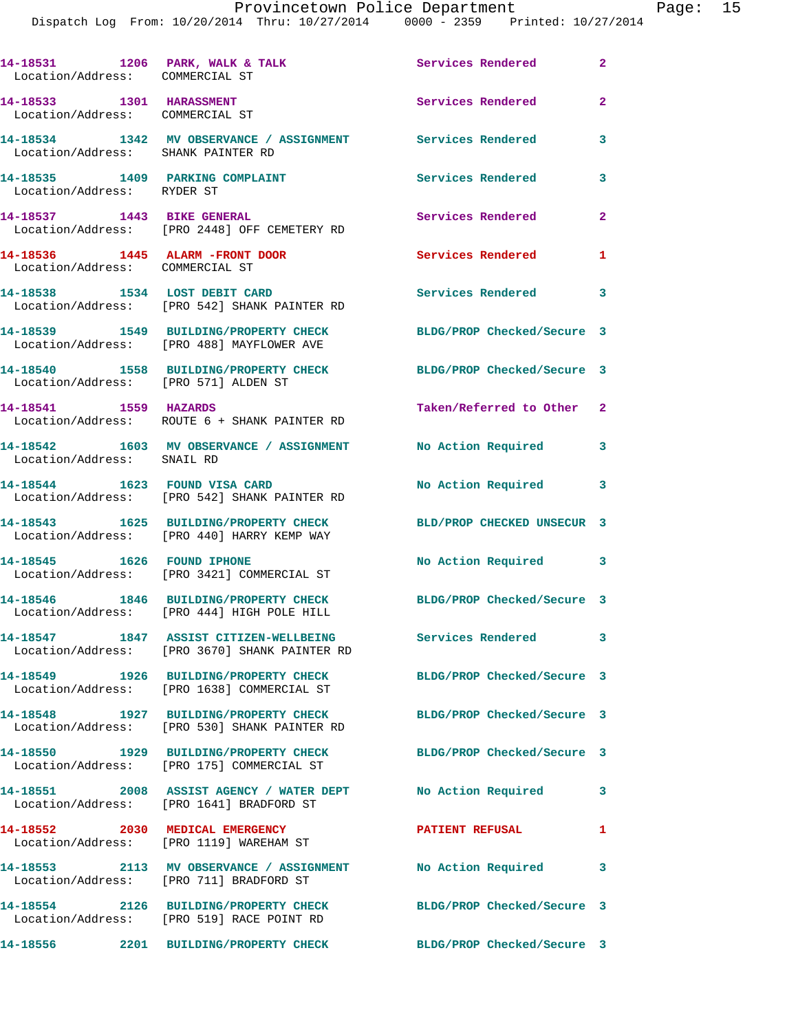## Provincetown Police Department Page: 15

Dispatch Log From: 10/20/2014 Thru: 10/27/2014 0000 - 2359 Printed: 10/27/2014

| 14-18531 1206 PARK, WALK & TALK<br>Location/Address: COMMERCIAL ST |                                                                                         | Services Rendered          | $\overline{2}$             |
|--------------------------------------------------------------------|-----------------------------------------------------------------------------------------|----------------------------|----------------------------|
| 14-18533 1301 HARASSMENT<br>Location/Address: COMMERCIAL ST        |                                                                                         | Services Rendered          | $\mathbf{2}$               |
| Location/Address: SHANK PAINTER RD                                 | 14-18534 1342 MV OBSERVANCE / ASSIGNMENT Services Rendered                              |                            | $\mathbf{3}$               |
| 14-18535 1409 PARKING COMPLAINT<br>Location/Address: RYDER ST      |                                                                                         | Services Rendered          | 3                          |
| 14-18537 1443 BIKE GENERAL                                         | Location/Address: [PRO 2448] OFF CEMETERY RD                                            | Services Rendered 2        |                            |
| 14-18536 1445 ALARM -FRONT DOOR<br>Location/Address: COMMERCIAL ST |                                                                                         | Services Rendered          | 1                          |
|                                                                    | 14-18538 1534 LOST DEBIT CARD<br>Location/Address: [PRO 542] SHANK PAINTER RD           | Services Rendered 3        |                            |
|                                                                    | 14-18539 1549 BUILDING/PROPERTY CHECK<br>Location/Address: [PRO 488] MAYFLOWER AVE      | BLDG/PROP Checked/Secure 3 |                            |
| Location/Address: [PRO 571] ALDEN ST                               | 14-18540 1558 BUILDING/PROPERTY CHECK                                                   | BLDG/PROP Checked/Secure 3 |                            |
| 14-18541 1559 HAZARDS                                              | Location/Address: ROUTE 6 + SHANK PAINTER RD                                            | Taken/Referred to Other 2  |                            |
| Location/Address: SNAIL RD                                         | 14-18542 1603 MV OBSERVANCE / ASSIGNMENT                                                | No Action Required         | $\overline{\phantom{a}}$ 3 |
|                                                                    | 14-18544 1623 FOUND VISA CARD<br>Location/Address: [PRO 542] SHANK PAINTER RD           | No Action Required 3       |                            |
|                                                                    | 14-18543 1625 BUILDING/PROPERTY CHECK<br>Location/Address: [PRO 440] HARRY KEMP WAY     | BLD/PROP CHECKED UNSECUR 3 |                            |
| 14-18545   1626   FOUND IPHONE                                     | Location/Address: [PRO 3421] COMMERCIAL ST                                              | No Action Required 3       |                            |
|                                                                    | 14-18546 1846 BUILDING/PROPERTY CHECK<br>Location/Address: [PRO 444] HIGH POLE HILL     | BLDG/PROP Checked/Secure 3 |                            |
|                                                                    | 14-18547 1847 ASSIST CITIZEN-WELLBEING<br>Location/Address: [PRO 3670] SHANK PAINTER RD | Services Rendered          | 3                          |
|                                                                    | 14-18549 1926 BUILDING/PROPERTY CHECK<br>Location/Address: [PRO 1638] COMMERCIAL ST     | BLDG/PROP Checked/Secure 3 |                            |
|                                                                    | 14-18548 1927 BUILDING/PROPERTY CHECK<br>Location/Address: [PRO 530] SHANK PAINTER RD   | BLDG/PROP Checked/Secure 3 |                            |
|                                                                    | 14-18550 1929 BUILDING/PROPERTY CHECK<br>Location/Address: [PRO 175] COMMERCIAL ST      | BLDG/PROP Checked/Secure 3 |                            |
|                                                                    | 14-18551 2008 ASSIST AGENCY / WATER DEPT<br>Location/Address: [PRO 1641] BRADFORD ST    | No Action Required         | 3                          |
|                                                                    | 14-18552 2030 MEDICAL EMERGENCY<br>Location/Address: [PRO 1119] WAREHAM ST              | <b>PATIENT REFUSAL</b>     | 1                          |
|                                                                    | 14-18553 2113 MV OBSERVANCE / ASSIGNMENT<br>Location/Address: [PRO 711] BRADFORD ST     | No Action Required         | 3                          |

**14-18554 2126 BUILDING/PROPERTY CHECK BLDG/PROP Checked/Secure 3**  Location/Address: [PRO 519] RACE POINT RD

**14-18556 2201 BUILDING/PROPERTY CHECK BLDG/PROP Checked/Secure 3**